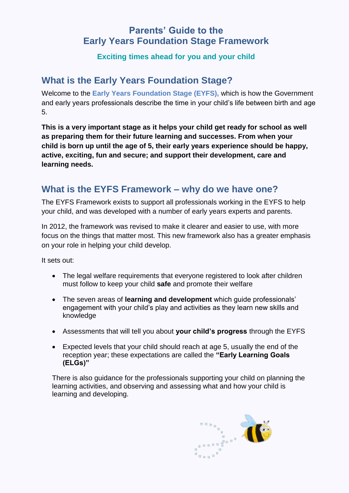## **Parents' Guide to the Early Years Foundation Stage Framework**

### **Exciting times ahead for you and your child**

## **What is the Early Years Foundation Stage?**

Welcome to the **Early Years Foundation Stage (EYFS),** which is how the Government and early years professionals describe the time in your child's life between birth and age 5.

**This is a very important stage as it helps your child get ready for school as well as preparing them for their future learning and successes. From when your child is born up until the age of 5, their early years experience should be happy, active, exciting, fun and secure; and support their development, care and learning needs.** 

# **What is the EYFS Framework – why do we have one?**

The EYFS Framework exists to support all professionals working in the EYFS to help your child, and was developed with a number of early years experts and parents.

In 2012, the framework was revised to make it clearer and easier to use, with more focus on the things that matter most. This new framework also has a greater emphasis on your role in helping your child develop.

It sets out:

- The legal welfare requirements that everyone registered to look after children must follow to keep your child **safe** and promote their welfare
- The seven areas of **learning and development** which guide professionals' engagement with your child's play and activities as they learn new skills and knowledge
- Assessments that will tell you about **your child's progress** through the EYFS
- Expected levels that your child should reach at age 5, usually the end of the reception year; these expectations are called the **"Early Learning Goals (ELGs)"**

There is also guidance for the professionals supporting your child on planning the learning activities, and observing and assessing what and how your child is learning and developing.

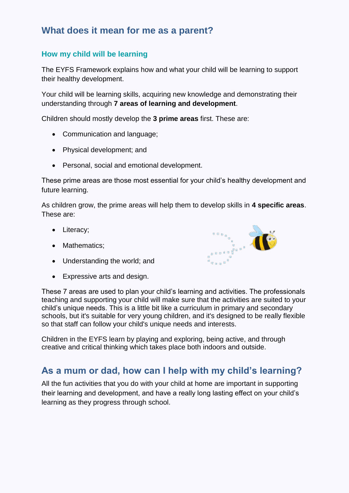# **What does it mean for me as a parent?**

### **How my child will be learning**

The EYFS Framework explains how and what your child will be learning to support their healthy development.

Your child will be learning skills, acquiring new knowledge and demonstrating their understanding through **7 areas of learning and development**.

Children should mostly develop the **3 prime areas** first. These are:

- Communication and language;
- Physical development; and
- Personal, social and emotional development.

These prime areas are those most essential for your child's healthy development and future learning.

As children grow, the prime areas will help them to develop skills in **4 specific areas**. These are:

- Literacy;
- Mathematics;
- Understanding the world; and
- Expressive arts and design.

These 7 areas are used to plan your child's learning and activities. The professionals teaching and supporting your child will make sure that the activities are suited to your child's unique needs. This is a little bit like a curriculum in primary and secondary schools, but it's suitable for very young children, and it's designed to be really flexible so that staff can follow your child's unique needs and interests.

Children in the EYFS learn by playing and exploring, being active, and through creative and critical thinking which takes place both indoors and outside.

### **As a mum or dad, how can I help with my child's learning?**

All the fun activities that you do with your child at home are important in supporting their learning and development, and have a really long lasting effect on your child's learning as they progress through school.

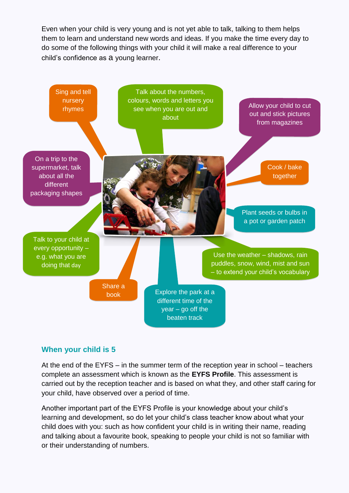Even when your child is very young and is not yet able to talk, talking to them helps them to learn and understand new words and ideas. If you make the time every day to do some of the following things with your child it will make a real difference to your child's confidence as a young learner.



### **When your child is 5**

At the end of the EYFS – in the summer term of the reception year in school – teachers complete an assessment which is known as the **EYFS Profile**. This assessment is carried out by the reception teacher and is based on what they, and other staff caring for your child, have observed over a period of time.

Another important part of the EYFS Profile is your knowledge about your child's learning and development, so do let your child's class teacher know about what your child does with you: such as how confident your child is in writing their name, reading and talking about a favourite book, speaking to people your child is not so familiar with or their understanding of numbers.